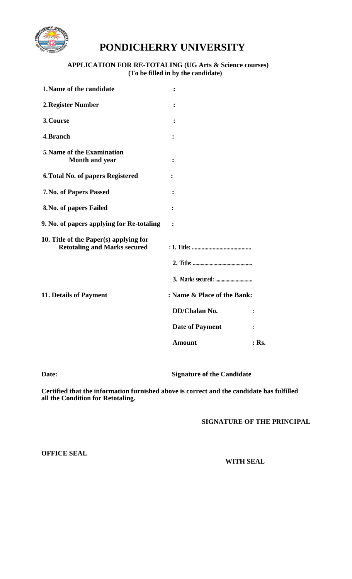

## **PONDICHERRY UNIVERSITY**

## **APPLICATION FOR RE-TOTALING (UG Arts & Science courses) (To be filled in by the candidate)**

| 1. Name of the candidate                                                      | ፡                           |                |
|-------------------------------------------------------------------------------|-----------------------------|----------------|
| 2. Register Number                                                            | ፡                           |                |
| 3. Course                                                                     | ፡                           |                |
| 4. Branch                                                                     |                             |                |
| 5. Name of the Examination<br><b>Month and year</b>                           |                             |                |
| 6. Total No. of papers Registered                                             |                             |                |
| 7. No. of Papers Passed                                                       |                             |                |
| 8. No. of papers Failed                                                       | $\ddot{\cdot}$              |                |
| 9. No. of papers applying for Re-totaling                                     | $\ddot{\cdot}$              |                |
| 10. Title of the Paper(s) applying for<br><b>Retotaling and Marks secured</b> |                             |                |
|                                                                               |                             |                |
|                                                                               |                             |                |
| 11. Details of Payment                                                        | : Name & Place of the Bank: |                |
|                                                                               | DD/Chalan No.               |                |
|                                                                               | <b>Date of Payment</b>      | $\ddot{\cdot}$ |
|                                                                               | <b>Amount</b>               | $:$ Rs.        |
|                                                                               |                             |                |

**Date: Signature of the Candidate**

**Certified that the information furnished above is correct and the candidate has fulfilled all the Condition for Retotaling.**

**SIGNATURE OF THE PRINCIPAL**

**OFFICE SEAL**

**WITH SEAL**